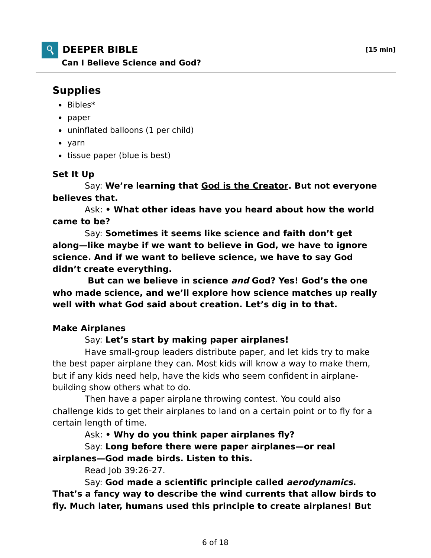

# **DEEPER BIBLE [15 min]**

**Can I Believe Science and God?**

# **Supplies**

- $\bullet$  Bibles\*
- paper
- uninflated balloons (1 per child)
- yarn
- tissue paper (blue is best)

#### **Set It Up**

 Say: **We're learning that God is the Creator. But not everyone believes that.**

 Ask: **• What other ideas have you heard about how the world came to be?**

 Say: **Sometimes it seems like science and faith don't get along—like maybe if we want to believe in God, we have to ignore science. And if we want to believe science, we have to say God didn't create everything.**

 **But can we believe in science and God? Yes! God's the one who made science, and we'll explore how science matches up really well with what God said about creation. Let's dig in to that.**

## **Make Airplanes**

### Say: **Let's start by making paper airplanes!**

 Have small-group leaders distribute paper, and let kids try to make the best paper airplane they can. Most kids will know a way to make them, but if any kids need help, have the kids who seem confident in airplanebuilding show others what to do.

 Then have a paper airplane throwing contest. You could also challenge kids to get their airplanes to land on a certain point or to fly for a certain length of time.

Ask: **• Why do you think paper airplanes fly?**

 Say: **Long before there were paper airplanes—or real airplanes—God made birds. Listen to this.**

Read Job 39:26-27.

 Say: **God made a scientific principle called aerodynamics. That's a fancy way to describe the wind currents that allow birds to fly. Much later, humans used this principle to create airplanes! But**